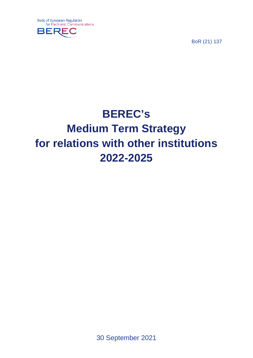

BoR (21) 137

# **BEREC's Medium Term Strategy for relations with other institutions 2022-2025**

30 September 2021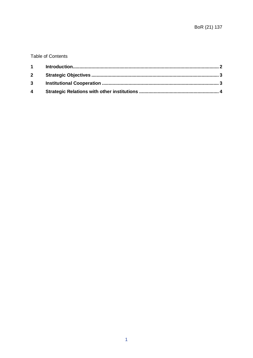#### **Table of Contents**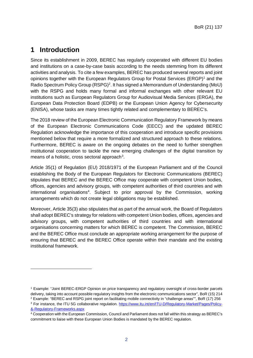#### <span id="page-2-0"></span>**1 Introduction**

-

Since its establishment in 2009, BEREC has regularly cooperated with different EU bodies and institutions on a case-by-case basis according to the needs stemming from its different activities and analysis. To cite a few examples, BEREC has produced several reports and joint opinions together with the European Regulators Group for Postal Services (ERGP)[1](#page-2-1) and the Radio Spectrum Policy Group (RSPG)<sup>[2](#page-2-2)</sup>. It has signed a Memorandum of Understanding (MoU) with the RSPG and holds many formal and informal exchanges with other relevant EU institutions such as European Regulators Group for Audiovisual Media Services (ERGA), the European Data Protection Board (EDPB) or the European Union Agency for Cybersecurity (ENISA), whose tasks are many times tightly related and complementary to BEREC's.

The 2018 review of the European Electronic Communication Regulatory Framework by means of the European Electronic Communications Code (EECC) and the updated BEREC Regulation acknowledge the importance of this cooperation and introduce specific provisions mentioned below that require a more formalized and structured approach to these relations. Furthermore, BEREC is aware on the ongoing debates on the need to further strengthen institutional cooperation to tackle the new emerging challenges of the digital transition by means of a holistic, cross sectoral approach $3$ .

Article 35(1) of Regulation (EU) 2018/1971 of the European Parliament and of the Council establishing the Body of the European Regulators for Electronic Communications (BEREC) stipulates that BEREC and the BEREC Office may cooperate with competent Union bodies, offices, agencies and advisory groups, with competent authorities of third countries and with international organisations<sup>[4](#page-2-4)</sup>. Subject to prior approval by the Commission, working arrangements which do not create legal obligations may be established.

Moreover, Article 35(3) also stipulates that as part of the annual work, the Board of Regulators shall adopt BEREC's strategy for relations with competent Union bodies, offices, agencies and advisory groups, with competent authorities of third countries and with international organisations concerning matters for which BEREC is competent. The Commission, BEREC and the BEREC Office must conclude an appropriate working arrangement for the purpose of ensuring that BEREC and the BEREC Office operate within their mandate and the existing institutional framework.

<span id="page-2-1"></span><sup>1</sup> Example: "Joint BEREC-ERGP Opinion on price transparency and regulatory oversight of cross-border parcels delivery, taking into account possible regulatory insights from the electronic communications sector", BoR (15) 214 <sup>2</sup> Example: "BEREC and RSPG joint report on facilitating mobile connectivity in "challenge areas"", BoR (17) 256

<span id="page-2-3"></span><span id="page-2-2"></span><sup>&</sup>lt;sup>3</sup> For instance, the ITU 5G collaborative regulation. [https://www.itu.int/en/ITU-D/Regulatory-Market/Pages/Policy-](https://www.itu.int/en/ITU-D/Regulatory-Market/Pages/Policy-&-Regulatory-Frameworks.aspx) [&-Regulatory-Frameworks.aspx](https://www.itu.int/en/ITU-D/Regulatory-Market/Pages/Policy-&-Regulatory-Frameworks.aspx)

<span id="page-2-4"></span><sup>4</sup> Cooperation with the European Commission, Council and Parliament does not fall within this strategy as BEREC's commitment to liaise with these European Union Bodies is mandated by the BEREC regulation.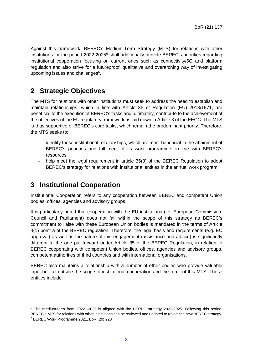Against this framework, BEREC's Medium-Term Strategy (MTS) for relations with other institutions for the period  $2022$ -202[5](#page-3-2)<sup>5</sup> shall additionally provide BEREC's priorities regarding institutional cooperation focusing on current ones such as connectivity/5G and platform regulation and also strive for a futureproof, qualitative and overarching way of investigating upcoming issues and challenges<sup>6</sup>.

## <span id="page-3-0"></span>**2 Strategic Objectives**

The MTS for relations with other institutions must seek to address the need to establish and maintain relationships, which in line with Article 35 of Regulation (EU) 2018/1971, are beneficial to the execution of BEREC's tasks and, ultimately, contribute to the achievement of the objectives of the EU regulatory framework as laid down in Article 3 of the EECC. The MTS is thus supportive of BEREC's core tasks, which remain the predominant priority. Therefore, the MTS seeks to:

- identify those institutional relationships, which are most beneficial to the attainment of BEREC's priorities and fulfilment of its work programme, in line with BEREC's resources.
- help meet the legal requirement in article 35(3) of the BEREC Regulation to adopt BEREC's strategy for relations with institutional entities in the annual work program.

### <span id="page-3-1"></span>**3 Institutional Cooperation**

-

Institutional Cooperation refers to any cooperation between BEREC and competent Union bodies, offices, agencies and advisory groups.

It is particularly noted that cooperation with the EU institutions (i.e. European Commission, Council and Parliament) does not fall within the scope of this strategy as BEREC's commitment to liaise with these European Union bodies is mandated in the terms of Article 4(1) point a of the BEREC regulation. Therefore, the legal basis and requirements (e.g. EC approval) as well as the nature of this engagement (assistance and advice) is significantly different to the one put forward under Article 35 of the BEREC Regulation, in relation to BEREC cooperating with competent Union bodies, offices, agencies and advisory groups, competent authorities of third countries and with international organisations.

BEREC also maintains a relationship with a number of other bodies who provide valuable input but fall outside the scope of institutional cooperation and the remit of this MTS. These entities include:

<span id="page-3-3"></span><span id="page-3-2"></span><sup>5</sup> The medium-term from 2022 -2025 is aligned with the BEREC strategy 2021-2025. Following this period, BEREC's MTS for relations with other institutions can be reviewed and updated to reflect the new BEREC strategy.<br><sup>6</sup> BEREC Work Programme 2021, BoR (20) 220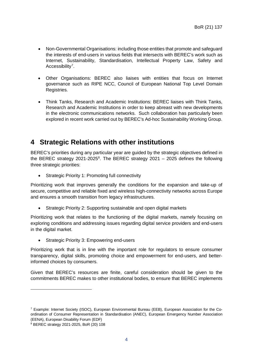- Non-Governmental Organisations: including those entities that promote and safeguard the interests of end-users in various fields that intersects with BEREC's work such as Internet, Sustainability, Standardisation, Intellectual Property Law, Safety and Accessibility<sup>[7](#page-4-1)</sup>.
- Other Organisations: BEREC also liaises with entities that focus on Internet governance such as RIPE NCC, Council of European National Top Level Domain Registries.
- Think Tanks, Research and Academic Institutions: BEREC liaises with Think Tanks, Research and Academic Institutions in order to keep abreast with new developments in the electronic communications networks. Such collaboration has particularly been explored in recent work carried out by BEREC's Ad-hoc Sustainability Working Group.

### <span id="page-4-0"></span>**4 Strategic Relations with other institutions**

BEREC's priorities during any particular year are guided by the strategic objectives defined in the BEREC strategy 2021-2025<sup>[8](#page-4-2)</sup>. The BEREC strategy 2021  $-$  2025 defines the following three strategic priorities:

• Strategic Priority 1: Promoting full connectivity

Prioritizing work that improves generally the conditions for the expansion and take-up of secure, competitive and reliable fixed and wireless high-connectivity networks across Europe and ensures a smooth transition from legacy infrastructures.

• Strategic Priority 2: Supporting sustainable and open digital markets

Prioritizing work that relates to the functioning of the digital markets, namely focusing on exploring conditions and addressing issues regarding digital service providers and end-users in the digital market.

• Strategic Priority 3: Empowering end-users

Prioritizing work that is in line with the important role for regulators to ensure consumer transparency, digital skills, promoting choice and empowerment for end-users, and betterinformed choices by consumers.

Given that BEREC's resources are finite, careful consideration should be given to the commitments BEREC makes to other institutional bodies, to ensure that BEREC implements

-

<span id="page-4-1"></span><sup>7</sup> Example: Internet Society (ISOC), European Environmental Bureau (EEB), European Association for the Coordination of Consumer Representation in Standardisation (ANEC), European Emergency Number Association (EENA), European Disability Forum (EDF)

<span id="page-4-2"></span><sup>8</sup> BEREC strategy 2021-2025, BoR (20) 108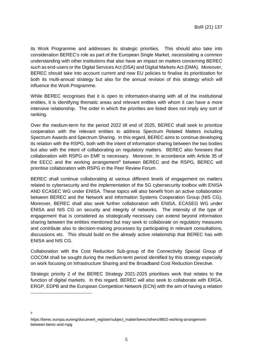its Work Programme and addresses its strategic priorities. This should also take into consideration BEREC's role as part of the European Single Market, necessitating a common understanding with other institutions that also have an impact on matters concerning BEREC such as end-users or the Digital Services Act (DSA) and Digital Markets Act (DMA). Moreover, BEREC should take into account current and new EU policies to finalise its prioritization for both its multi-annual strategy but also for the annual revision of this strategy which will influence the Work Programme.

While BEREC recognises that it is open to information-sharing with all of the institutional entities, it is identifying thematic areas and relevant entities with whom it can have a more intensive relationship. The order in which the priorities are listed does not imply any sort of ranking.

Over the medium-term for the period 2022 till end of 2025, BEREC shall seek to prioritize cooperation with the relevant entities to address Spectrum Related Matters including Spectrum Awards and Spectrum Sharing. In this regard, BEREC aims to continue developing its relation with the RSPG, both with the intent of information sharing between the two bodies but also with the intent of collaborating on regulatory matters. BEREC also foresees that collaboration with RSPG on EMF is necessary. Moreover, In accordance with Article 35 of the EECC and the working arrangement $9$  between BEREC and the RSPG, BEREC will prioritise collaboration with RSPG in the Peer Review Forum.

BEREC shall continue collaborating at various different levels of engagement on matters related to cybersecurity and the implementation of the 5G cybersecurity toolbox with ENISA AND ECASEC WG under ENISA. These topics will also benefit from an active collaboration between BEREC and the Network and Information Systems Cooperation Group (NIS CG). Moreover, BEREC shall also seek further collaboration with ENISA, ECASEG WG under ENISA and NIS CG on security and integrity of networks. The intensity of the type of engagement that is considered as strategically necessary can extend beyond information sharing between the entities mentioned but may seek to collaborate on regulatory measures and contribute also to decision-making processes by participating in relevant consultations, discussions etc. This should build on the already active relationship that BEREC has with ENISA and NIS CG.

Collaboration with the Cost Reduction Sub-group of the Connectivity Special Group of COCOM shall be sought during the medium-term period identified by this strategy especially on work focusing on Infrastructure Sharing and the Broadband Cost Reduction Directive.

Strategic priority 2 of the BEREC Strategy 2021-2025 prioritises work that relates to the function of digital markets. In this regard, BEREC will also seek to collaborate with ERGA, ERGP, EDPB and the European Competition Network (ECN) with the aim of having a relation

<span id="page-5-0"></span>9

-

https://berec.europa.eu/eng/document\_register/subject\_matter/berec/others/8602-working-arrangementbetween-berec-and-rspg